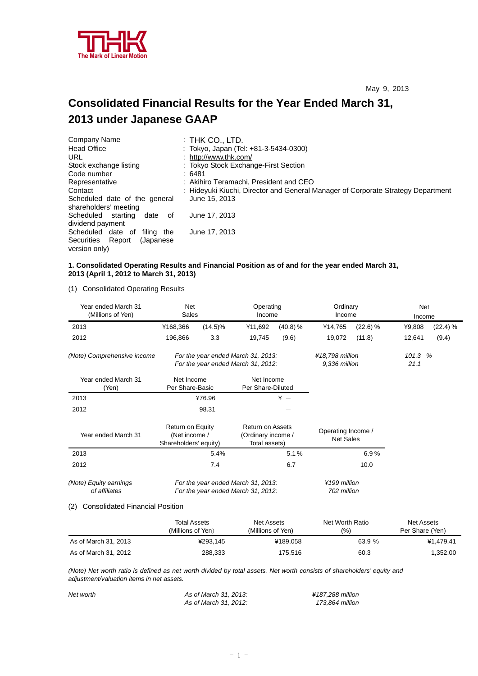

# **Consolidated Financial Results for the Year Ended March 31, 2013 under Japanese GAAP**

| Company Name                                           | $:$ Thk Co., LTD.                                                                |
|--------------------------------------------------------|----------------------------------------------------------------------------------|
| <b>Head Office</b>                                     | : Tokyo, Japan (Tel: +81-3-5434-0300)                                            |
| URL                                                    | : http://www.thk.com/                                                            |
| Stock exchange listing                                 | : Tokyo Stock Exchange-First Section                                             |
| Code number                                            | :6481                                                                            |
| Representative                                         | : Akihiro Teramachi, President and CEO                                           |
| Contact                                                | : Hideyuki Kiuchi, Director and General Manager of Corporate Strategy Department |
| Scheduled date of the general<br>shareholders' meeting | June 15, 2013                                                                    |
| Scheduled starting<br>date<br>0f<br>dividend payment   | June 17, 2013                                                                    |
| Scheduled date of<br>filing the                        | June 17, 2013                                                                    |
| Securities Report<br>(Japanese)<br>version only)       |                                                                                  |

## **1. Consolidated Operating Results and Financial Position as of and for the year ended March 31, 2013 (April 1, 2012 to March 31, 2013)**

(1) Consolidated Operating Results

| Year ended March 31<br>(Millions of Yen)                                                                            | Net<br>Sales                                                             |                             | Operating<br>Income                                            |                 | Ordinary<br>Income                     |          | Net<br>Income                    |          |                 |  |
|---------------------------------------------------------------------------------------------------------------------|--------------------------------------------------------------------------|-----------------------------|----------------------------------------------------------------|-----------------|----------------------------------------|----------|----------------------------------|----------|-----------------|--|
| 2013                                                                                                                | ¥168,366                                                                 | $(14.5)\%$                  | ¥11,692                                                        | (40.8) %        | ¥14,765                                | (22.6) % | ¥9,808                           | (22.4) % |                 |  |
| 2012                                                                                                                | 196,866                                                                  | 3.3                         | 19,745                                                         | (9.6)           | 19,072                                 | (11.8)   | 12,641                           | (9.4)    |                 |  |
| (Note) Comprehensive income                                                                                         | For the year ended March 31, 2013:<br>For the year ended March 31, 2012: |                             |                                                                |                 |                                        |          | ¥18,798 million<br>9,336 million |          | 101.3 %<br>21.1 |  |
| Year ended March 31<br>(Yen)                                                                                        | Net Income<br>Per Share-Basic                                            |                             | Net Income<br>Per Share-Diluted                                |                 |                                        |          |                                  |          |                 |  |
| 2013                                                                                                                |                                                                          | ¥76.96                      |                                                                | $\frac{1}{2}$ - |                                        |          |                                  |          |                 |  |
| 2012                                                                                                                |                                                                          | 98.31                       |                                                                |                 |                                        |          |                                  |          |                 |  |
| Year ended March 31                                                                                                 | Return on Equity<br>(Net income /<br>Shareholders' equity)               |                             | <b>Return on Assets</b><br>(Ordinary income /<br>Total assets) |                 | Operating Income /<br><b>Net Sales</b> |          |                                  |          |                 |  |
| 2013                                                                                                                | 5.4%                                                                     |                             |                                                                | 5.1%            |                                        | 6.9%     |                                  |          |                 |  |
| 2012                                                                                                                |                                                                          | 7.4<br>6.7                  |                                                                |                 | 10.0                                   |          |                                  |          |                 |  |
| (Note) Equity earnings<br>For the year ended March 31, 2013:<br>of affiliates<br>For the year ended March 31, 2012: |                                                                          | ¥199 million<br>702 million |                                                                |                 |                                        |          |                                  |          |                 |  |

#### (2) Consolidated Financial Position

|                      | <b>Total Assets</b><br>(Millions of Yen) | Net Assets<br>(Millions of Yen) | Net Worth Ratio<br>(% ) | Net Assets<br>Per Share (Yen) |
|----------------------|------------------------------------------|---------------------------------|-------------------------|-------------------------------|
| As of March 31, 2013 | ¥293.145                                 | ¥189.058                        | 63.9 %                  | ¥1.479.41                     |
| As of March 31, 2012 | 288,333                                  | 175,516                         | 60.3                    | 1,352.00                      |

*(Note) Net worth ratio is defined as net worth divided by total assets. Net worth consists of shareholders' equity and adjustment/valuation items in net assets.* 

| Net worth | As of March 31, 2013: | ¥187.288 million |
|-----------|-----------------------|------------------|
|           | As of March 31, 2012: | 173.864 million  |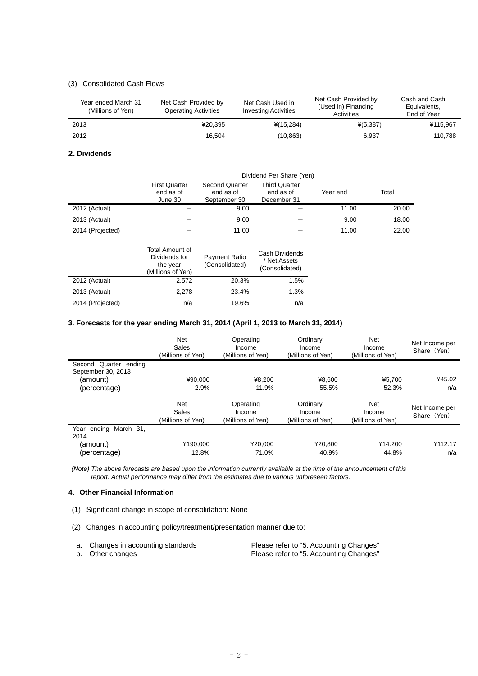## (3) Consolidated Cash Flows

| Year ended March 31<br>(Millions of Yen) | Net Cash Provided by<br><b>Operating Activities</b> | Net Cash Used in<br><b>Investing Activities</b> | Net Cash Provided by<br>(Used in) Financing<br>Activities | Cash and Cash<br>Equivalents,<br>End of Year |
|------------------------------------------|-----------------------------------------------------|-------------------------------------------------|-----------------------------------------------------------|----------------------------------------------|
| 2013                                     | ¥20.395                                             | $*(15,284)$                                     | $*(5,387)$                                                | ¥115.967                                     |
| 2012                                     | 16.504                                              | (10, 863)                                       | 6.937                                                     | 110.788                                      |

### **2. Dividends**

|                  | Dividend Per Share (Yen)                     |                                                    |                                                  |          |       |  |
|------------------|----------------------------------------------|----------------------------------------------------|--------------------------------------------------|----------|-------|--|
|                  | <b>First Quarter</b><br>end as of<br>June 30 | <b>Second Quarter</b><br>end as of<br>September 30 | <b>Third Quarter</b><br>end as of<br>December 31 | Year end | Total |  |
| 2012 (Actual)    |                                              | 9.00                                               |                                                  | 11.00    | 20.00 |  |
| 2013 (Actual)    |                                              | 9.00                                               |                                                  | 9.00     | 18.00 |  |
| 2014 (Projected) |                                              | 11.00                                              |                                                  | 11.00    | 22.00 |  |
|                  | Total Amount of                              |                                                    | Coch Dividonde                                   |          |       |  |

|                  | Dividends for<br>the year<br>(Millions of Yen) | <b>Payment Ratio</b><br>(Consolidated) | Cash Dividends<br>/ Net Assets<br>(Consolidated) |
|------------------|------------------------------------------------|----------------------------------------|--------------------------------------------------|
| 2012 (Actual)    | 2.572                                          | 20.3%                                  | 1.5%                                             |
| 2013 (Actual)    | 2.278                                          | 23.4%                                  | 1.3%                                             |
| 2014 (Projected) | n/a                                            | 19.6%                                  | n/a                                              |

## **3. Forecasts for the year ending March 31, 2014 (April 1, 2013 to March 31, 2014)**

| <b>Net</b><br>Sales<br>(Millions of Yen) | Operating<br>Income<br>(Millions of Yen) | Ordinary<br>Income<br>(Millions of Yen) | Net<br>Income<br>(Millions of Yen) | Net Income per<br>Share (Yen) |
|------------------------------------------|------------------------------------------|-----------------------------------------|------------------------------------|-------------------------------|
|                                          |                                          |                                         |                                    |                               |
| ¥90.000                                  | ¥8,200                                   | ¥8.600                                  | ¥5.700                             | ¥45.02                        |
| 2.9%                                     | 11.9%                                    | 55.5%                                   | 52.3%                              | n/a                           |
| <b>Net</b><br>Sales<br>(Millions of Yen) | Operating<br>Income<br>(Millions of Yen) | Ordinary<br>Income<br>(Millions of Yen) | Net<br>Income<br>(Millions of Yen) | Net Income per<br>Share (Yen) |
|                                          |                                          |                                         |                                    |                               |
| ¥190.000                                 | ¥20.000                                  | ¥20,800                                 | ¥14.200                            | ¥112.17<br>n/a                |
|                                          | 12.8%                                    | 71.0%                                   | 40.9%                              | 44.8%                         |

 *(Note) The above forecasts are based upon the information currently available at the time of the announcement of this report. Actual performance may differ from the estimates due to various unforeseen factors.* 

## **4**.**Other Financial Information**

- (1) Significant change in scope of consolidation: None
- (2) Changes in accounting policy/treatment/presentation manner due to:

| a. Changes in accounting standards | Please refer to "5. Accounting Changes" |
|------------------------------------|-----------------------------------------|
| b. Other changes                   | Please refer to "5. Accounting Changes" |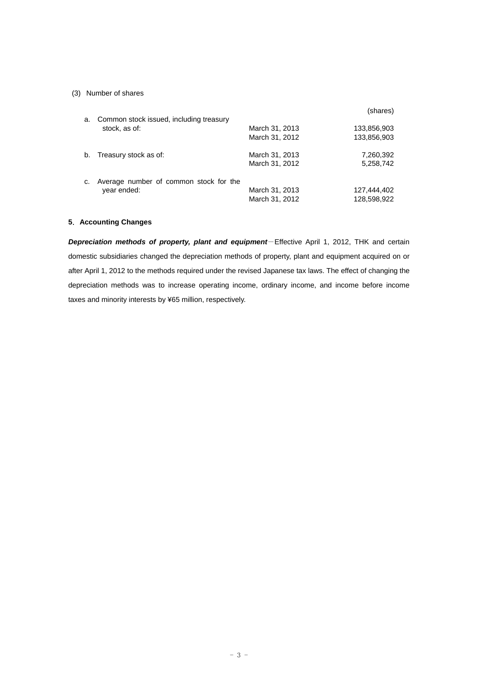## (3) Number of shares

|    |                                         |                | (shares)    |
|----|-----------------------------------------|----------------|-------------|
| a. | Common stock issued, including treasury |                |             |
|    | stock, as of:                           | March 31, 2013 | 133,856,903 |
|    |                                         | March 31, 2012 | 133,856,903 |
| b. | Treasury stock as of:                   | March 31, 2013 | 7,260,392   |
|    |                                         | March 31, 2012 | 5,258,742   |
| c. | Average number of common stock for the  |                |             |
|    | year ended:                             | March 31, 2013 | 127,444,402 |
|    |                                         | March 31, 2012 | 128,598,922 |

## **5**.**Accounting Changes**

*Depreciation methods of property, plant and equipment*-Effective April 1, 2012, THK and certain domestic subsidiaries changed the depreciation methods of property, plant and equipment acquired on or after April 1, 2012 to the methods required under the revised Japanese tax laws. The effect of changing the depreciation methods was to increase operating income, ordinary income, and income before income taxes and minority interests by ¥65 million, respectively.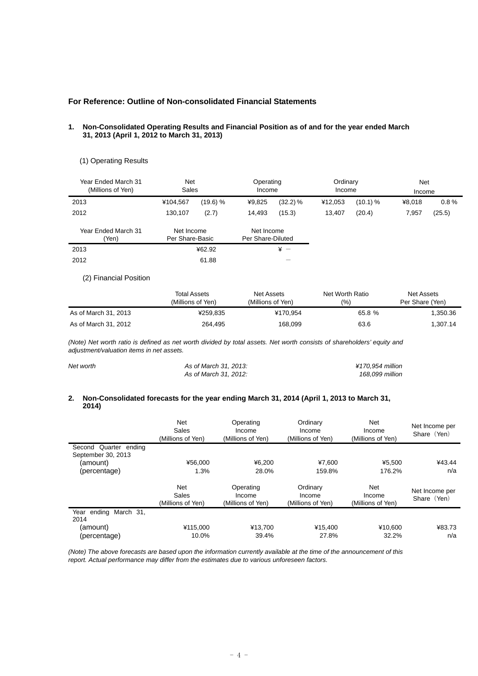## **For Reference: Outline of Non-consolidated Financial Statements**

 $2012$  61.88  $-$ 

#### **1. Non-Consolidated Operating Results and Financial Position as of and for the year ended March 31, 2013 (April 1, 2012 to March 31, 2013)**

## (1) Operating Results

| Year Ended March 31<br>(Millions of Yen) | <b>Net</b><br>Sales           |          | Operating<br>Income             |              | Ordinary<br>Income |            | Net<br>Income |        |
|------------------------------------------|-------------------------------|----------|---------------------------------|--------------|--------------------|------------|---------------|--------|
| 2013                                     | ¥104.567                      | (19.6) % | ¥9,825                          | (32.2) %     | ¥12.053            | $(10.1)$ % | ¥8.018        | 0.8%   |
| 2012                                     | 130.107                       | (2.7)    | 14,493                          | (15.3)       | 13,407             | (20.4)     | 7,957         | (25.5) |
| Year Ended March 31<br>'Yen)             | Net Income<br>Per Share-Basic |          | Net Income<br>Per Share-Diluted |              |                    |            |               |        |
| 2013                                     |                               | ¥62.92   |                                 | $\angle x$ - |                    |            |               |        |

## (2) Financial Position

|                      | <b>Total Assets</b> | Net Assets        |        | Net Assets      |
|----------------------|---------------------|-------------------|--------|-----------------|
|                      | (Millions of Yen)   | (Millions of Yen) | (% )   | Per Share (Yen) |
| As of March 31, 2013 | ¥259.835            | ¥170.954          | 65.8 % | 1,350.36        |
| As of March 31, 2012 | 264.495             | 168,099           | 63.6   | 1.307.14        |

*(Note) Net worth ratio is defined as net worth divided by total assets. Net worth consists of shareholders' equity and adjustment/valuation items in net assets.* 

| Net worth | As of March 31, 2013: | ¥170.954 million |
|-----------|-----------------------|------------------|
|           | As of March 31, 2012: | 168.099 million  |

#### **2. Non-Consolidated forecasts for the year ending March 31, 2014 (April 1, 2013 to March 31, 2014)**

|                                             | <b>Net</b><br>Sales<br>(Millions of Yen) | Operating<br>Income<br>(Millions of Yen) | Ordinary<br>Income<br>(Millions of Yen) | Net<br>Income<br>(Millions of Yen) | Net Income per<br>Share (Yen) |
|---------------------------------------------|------------------------------------------|------------------------------------------|-----------------------------------------|------------------------------------|-------------------------------|
| Second Quarter ending<br>September 30, 2013 |                                          |                                          |                                         |                                    |                               |
| (amount)                                    | ¥56.000                                  | ¥6.200                                   | ¥7.600                                  | ¥5.500                             | ¥43.44                        |
| (percentage)                                | 1.3%                                     | 28.0%                                    | 159.8%                                  | 176.2%                             | n/a                           |
|                                             | <b>Net</b><br>Sales<br>(Millions of Yen) | Operating<br>Income<br>(Millions of Yen) | Ordinary<br>Income<br>(Millions of Yen) | Net<br>Income<br>(Millions of Yen) | Net Income per<br>Share (Yen) |
| Year ending<br>March 31.<br>2014            |                                          |                                          |                                         |                                    |                               |
| (amount)                                    | ¥115,000                                 | ¥13,700                                  | ¥15,400                                 | ¥10,600                            | ¥83.73                        |
| (percentage)                                | 10.0%                                    | 39.4%                                    | 27.8%                                   | 32.2%                              | n/a                           |

*(Note) The above forecasts are based upon the information currently available at the time of the announcement of this report. Actual performance may differ from the estimates due to various unforeseen factors.*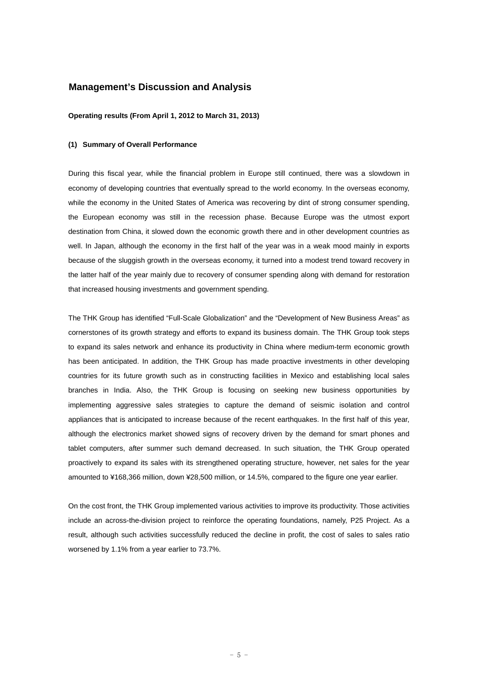## **Management's Discussion and Analysis**

#### **Operating results (From April 1, 2012 to March 31, 2013)**

### **(1) Summary of Overall Performance**

During this fiscal year, while the financial problem in Europe still continued, there was a slowdown in economy of developing countries that eventually spread to the world economy. In the overseas economy, while the economy in the United States of America was recovering by dint of strong consumer spending, the European economy was still in the recession phase. Because Europe was the utmost export destination from China, it slowed down the economic growth there and in other development countries as well. In Japan, although the economy in the first half of the year was in a weak mood mainly in exports because of the sluggish growth in the overseas economy, it turned into a modest trend toward recovery in the latter half of the year mainly due to recovery of consumer spending along with demand for restoration that increased housing investments and government spending.

The THK Group has identified "Full-Scale Globalization" and the "Development of New Business Areas" as cornerstones of its growth strategy and efforts to expand its business domain. The THK Group took steps to expand its sales network and enhance its productivity in China where medium-term economic growth has been anticipated. In addition, the THK Group has made proactive investments in other developing countries for its future growth such as in constructing facilities in Mexico and establishing local sales branches in India. Also, the THK Group is focusing on seeking new business opportunities by implementing aggressive sales strategies to capture the demand of seismic isolation and control appliances that is anticipated to increase because of the recent earthquakes. In the first half of this year, although the electronics market showed signs of recovery driven by the demand for smart phones and tablet computers, after summer such demand decreased. In such situation, the THK Group operated proactively to expand its sales with its strengthened operating structure, however, net sales for the year amounted to ¥168,366 million, down ¥28,500 million, or 14.5%, compared to the figure one year earlier.

On the cost front, the THK Group implemented various activities to improve its productivity. Those activities include an across-the-division project to reinforce the operating foundations, namely, P25 Project. As a result, although such activities successfully reduced the decline in profit, the cost of sales to sales ratio worsened by 1.1% from a year earlier to 73.7%.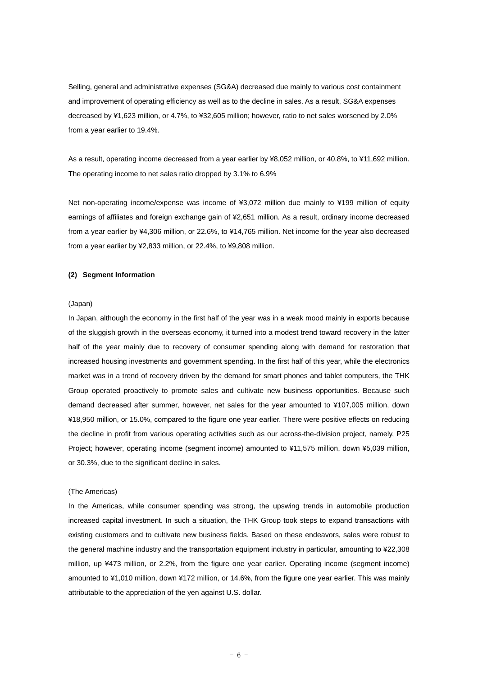Selling, general and administrative expenses (SG&A) decreased due mainly to various cost containment and improvement of operating efficiency as well as to the decline in sales. As a result, SG&A expenses decreased by ¥1,623 million, or 4.7%, to ¥32,605 million; however, ratio to net sales worsened by 2.0% from a year earlier to 19.4%.

As a result, operating income decreased from a year earlier by ¥8,052 million, or 40.8%, to ¥11,692 million. The operating income to net sales ratio dropped by 3.1% to 6.9%

Net non-operating income/expense was income of ¥3,072 million due mainly to ¥199 million of equity earnings of affiliates and foreign exchange gain of ¥2,651 million. As a result, ordinary income decreased from a year earlier by ¥4,306 million, or 22.6%, to ¥14,765 million. Net income for the year also decreased from a year earlier by ¥2,833 million, or 22.4%, to ¥9,808 million.

#### **(2) Segment Information**

#### (Japan)

In Japan, although the economy in the first half of the year was in a weak mood mainly in exports because of the sluggish growth in the overseas economy, it turned into a modest trend toward recovery in the latter half of the year mainly due to recovery of consumer spending along with demand for restoration that increased housing investments and government spending. In the first half of this year, while the electronics market was in a trend of recovery driven by the demand for smart phones and tablet computers, the THK Group operated proactively to promote sales and cultivate new business opportunities. Because such demand decreased after summer, however, net sales for the year amounted to ¥107,005 million, down ¥18,950 million, or 15.0%, compared to the figure one year earlier. There were positive effects on reducing the decline in profit from various operating activities such as our across-the-division project, namely, P25 Project; however, operating income (segment income) amounted to ¥11,575 million, down ¥5,039 million, or 30.3%, due to the significant decline in sales.

#### (The Americas)

In the Americas, while consumer spending was strong, the upswing trends in automobile production increased capital investment. In such a situation, the THK Group took steps to expand transactions with existing customers and to cultivate new business fields. Based on these endeavors, sales were robust to the general machine industry and the transportation equipment industry in particular, amounting to ¥22,308 million, up ¥473 million, or 2.2%, from the figure one year earlier. Operating income (segment income) amounted to ¥1,010 million, down ¥172 million, or 14.6%, from the figure one year earlier. This was mainly attributable to the appreciation of the yen against U.S. dollar.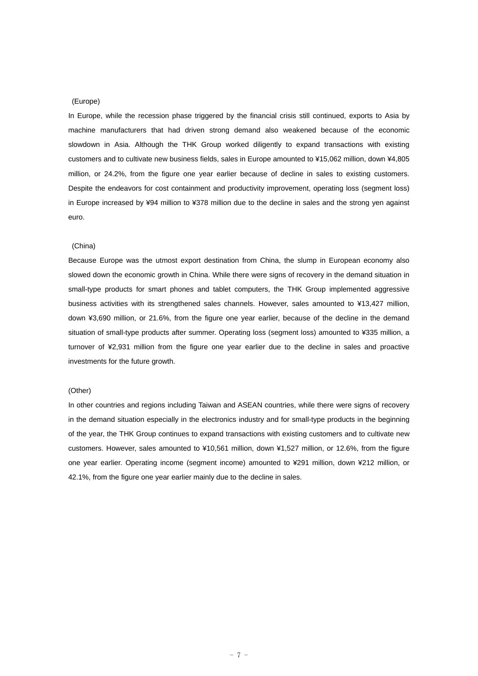## (Europe)

In Europe, while the recession phase triggered by the financial crisis still continued, exports to Asia by machine manufacturers that had driven strong demand also weakened because of the economic slowdown in Asia. Although the THK Group worked diligently to expand transactions with existing customers and to cultivate new business fields, sales in Europe amounted to ¥15,062 million, down ¥4,805 million, or 24.2%, from the figure one year earlier because of decline in sales to existing customers. Despite the endeavors for cost containment and productivity improvement, operating loss (segment loss) in Europe increased by ¥94 million to ¥378 million due to the decline in sales and the strong yen against euro.

#### (China)

Because Europe was the utmost export destination from China, the slump in European economy also slowed down the economic growth in China. While there were signs of recovery in the demand situation in small-type products for smart phones and tablet computers, the THK Group implemented aggressive business activities with its strengthened sales channels. However, sales amounted to ¥13,427 million, down ¥3,690 million, or 21.6%, from the figure one year earlier, because of the decline in the demand situation of small-type products after summer. Operating loss (segment loss) amounted to ¥335 million, a turnover of ¥2,931 million from the figure one year earlier due to the decline in sales and proactive investments for the future growth.

## (Other)

In other countries and regions including Taiwan and ASEAN countries, while there were signs of recovery in the demand situation especially in the electronics industry and for small-type products in the beginning of the year, the THK Group continues to expand transactions with existing customers and to cultivate new customers. However, sales amounted to ¥10,561 million, down ¥1,527 million, or 12.6%, from the figure one year earlier. Operating income (segment income) amounted to ¥291 million, down ¥212 million, or 42.1%, from the figure one year earlier mainly due to the decline in sales.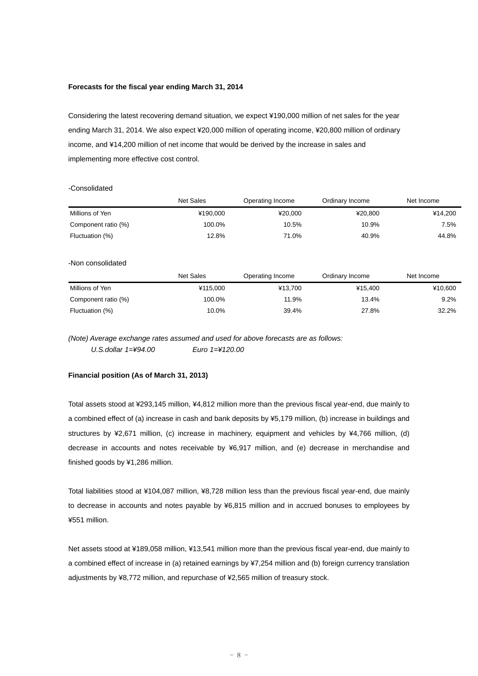#### **Forecasts for the fiscal year ending March 31, 2014**

Considering the latest recovering demand situation, we expect ¥190,000 million of net sales for the year ending March 31, 2014. We also expect ¥20,000 million of operating income, ¥20,800 million of ordinary income, and ¥14,200 million of net income that would be derived by the increase in sales and implementing more effective cost control.

## -Consolidated

|                     | <b>Net Sales</b> | Operating Income | Ordinary Income | Net Income |
|---------------------|------------------|------------------|-----------------|------------|
| Millions of Yen     | ¥190.000         | ¥20,000          | ¥20,800         | ¥14,200    |
| Component ratio (%) | 100.0%           | 10.5%            | 10.9%           | 7.5%       |
| Fluctuation (%)     | 12.8%            | 71.0%            | 40.9%           | 44.8%      |
| -Non consolidated   |                  |                  |                 |            |
|                     | <b>Net Sales</b> | Operating Income | Ordinary Income | Net Income |
| Millions of Yen     | ¥115.000         | ¥13,700          | ¥15.400         | ¥10,600    |
| Component ratio (%) | 100.0%           | 11.9%            | 13.4%           | 9.2%       |
| Fluctuation (%)     | 10.0%            | 39.4%            | 27.8%           | 32.2%      |

*(Note) Average exchange rates assumed and used for above forecasts are as follows: U.S.dollar 1=¥94.00 Euro 1=¥120.00* 

#### **Financial position (As of March 31, 2013)**

Total assets stood at ¥293,145 million, ¥4,812 million more than the previous fiscal year-end, due mainly to a combined effect of (a) increase in cash and bank deposits by ¥5,179 million, (b) increase in buildings and structures by ¥2,671 million, (c) increase in machinery, equipment and vehicles by ¥4,766 million, (d) decrease in accounts and notes receivable by ¥6,917 million, and (e) decrease in merchandise and finished goods by ¥1,286 million.

Total liabilities stood at ¥104,087 million, ¥8,728 million less than the previous fiscal year-end, due mainly to decrease in accounts and notes payable by ¥6,815 million and in accrued bonuses to employees by ¥551 million.

Net assets stood at ¥189,058 million, ¥13,541 million more than the previous fiscal year-end, due mainly to a combined effect of increase in (a) retained earnings by ¥7,254 million and (b) foreign currency translation adjustments by ¥8,772 million, and repurchase of ¥2,565 million of treasury stock.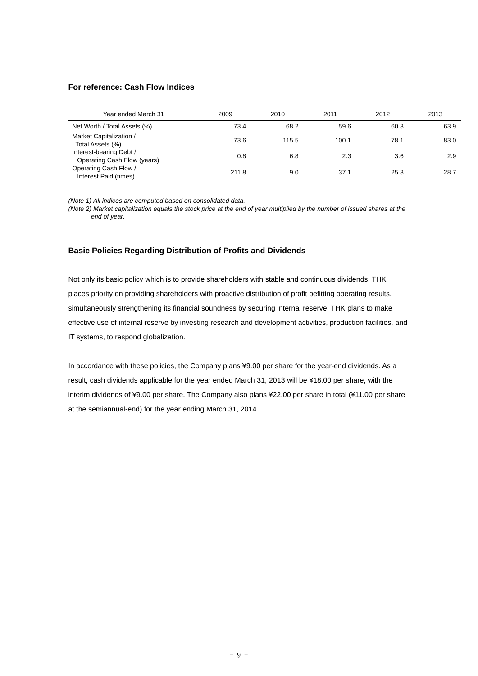## **For reference: Cash Flow Indices**

| Year ended March 31                                    | 2009  | 2010  | 2011  | 2012 | 2013 |
|--------------------------------------------------------|-------|-------|-------|------|------|
| Net Worth / Total Assets (%)                           | 73.4  | 68.2  | 59.6  | 60.3 | 63.9 |
| Market Capitalization /<br>Total Assets (%)            | 73.6  | 115.5 | 100.1 | 78.1 | 83.0 |
| Interest-bearing Debt /<br>Operating Cash Flow (years) | 0.8   | 6.8   | 2.3   | 3.6  | 2.9  |
| Operating Cash Flow /<br>Interest Paid (times)         | 211.8 | 9.0   | 37.1  | 25.3 | 28.7 |

*(Note 1) All indices are computed based on consolidated data.* 

*(Note 2) Market capitalization equals the stock price at the end of year multiplied by the number of issued shares at the end of year.* 

## **Basic Policies Regarding Distribution of Profits and Dividends**

Not only its basic policy which is to provide shareholders with stable and continuous dividends, THK places priority on providing shareholders with proactive distribution of profit befitting operating results, simultaneously strengthening its financial soundness by securing internal reserve. THK plans to make effective use of internal reserve by investing research and development activities, production facilities, and IT systems, to respond globalization.

In accordance with these policies, the Company plans ¥9.00 per share for the year-end dividends. As a result, cash dividends applicable for the year ended March 31, 2013 will be ¥18.00 per share, with the interim dividends of ¥9.00 per share. The Company also plans ¥22.00 per share in total (¥11.00 per share at the semiannual-end) for the year ending March 31, 2014.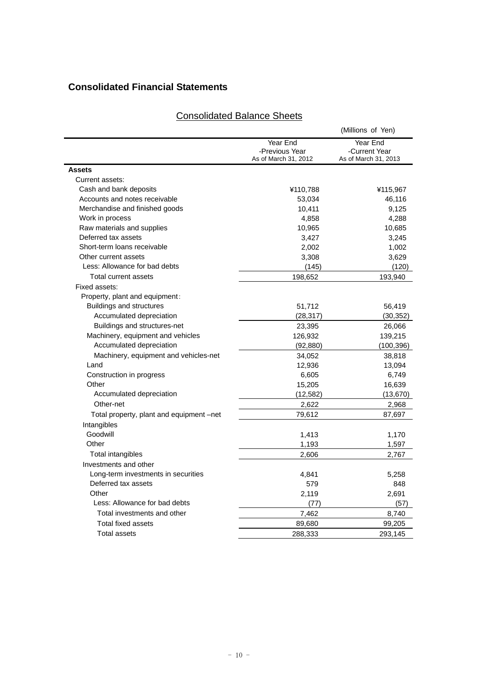## **Consolidated Financial Statements**

|                                          |                                                    | (Millions of Yen)                                 |
|------------------------------------------|----------------------------------------------------|---------------------------------------------------|
|                                          | Year End<br>-Previous Year<br>As of March 31, 2012 | Year End<br>-Current Year<br>As of March 31, 2013 |
| <b>Assets</b>                            |                                                    |                                                   |
| Current assets:                          |                                                    |                                                   |
| Cash and bank deposits                   | ¥110,788                                           | ¥115,967                                          |
| Accounts and notes receivable            | 53,034                                             | 46,116                                            |
| Merchandise and finished goods           | 10,411                                             | 9,125                                             |
| Work in process                          | 4,858                                              | 4,288                                             |
| Raw materials and supplies               | 10,965                                             | 10,685                                            |
| Deferred tax assets                      | 3,427                                              | 3,245                                             |
| Short-term loans receivable              | 2,002                                              | 1,002                                             |
| Other current assets                     | 3,308                                              | 3,629                                             |
| Less: Allowance for bad debts            | (145)                                              | (120)                                             |
| Total current assets                     | 198,652                                            | 193,940                                           |
| Fixed assets:                            |                                                    |                                                   |
| Property, plant and equipment:           |                                                    |                                                   |
| <b>Buildings and structures</b>          | 51,712                                             | 56,419                                            |
| Accumulated depreciation                 | (28, 317)                                          | (30, 352)                                         |
| Buildings and structures-net             | 23,395                                             | 26,066                                            |
| Machinery, equipment and vehicles        | 126,932                                            | 139,215                                           |
| Accumulated depreciation                 | (92, 880)                                          | (100, 396)                                        |
| Machinery, equipment and vehicles-net    | 34,052                                             | 38,818                                            |
| Land                                     | 12,936                                             | 13,094                                            |
| Construction in progress                 | 6,605                                              | 6,749                                             |
| Other                                    | 15,205                                             | 16,639                                            |
| Accumulated depreciation                 | (12, 582)                                          | (13, 670)                                         |
| Other-net                                | 2,622                                              | 2,968                                             |
| Total property, plant and equipment -net | 79,612                                             | 87,697                                            |
| Intangibles                              |                                                    |                                                   |
| Goodwill                                 | 1,413                                              | 1,170                                             |
| Other                                    | 1,193                                              | 1,597                                             |
| Total intangibles                        | 2,606                                              | 2,767                                             |
| Investments and other                    |                                                    |                                                   |
| Long-term investments in securities      | 4,841                                              | 5,258                                             |
| Deferred tax assets                      | 579                                                | 848                                               |
| Other                                    | 2,119                                              | 2,691                                             |
| Less: Allowance for bad debts            | (77)                                               | (57)                                              |
| Total investments and other              | 7,462                                              | 8,740                                             |
| Total fixed assets                       | 89,680                                             | 99,205                                            |
| <b>Total assets</b>                      | 288,333                                            | 293,145                                           |
|                                          |                                                    |                                                   |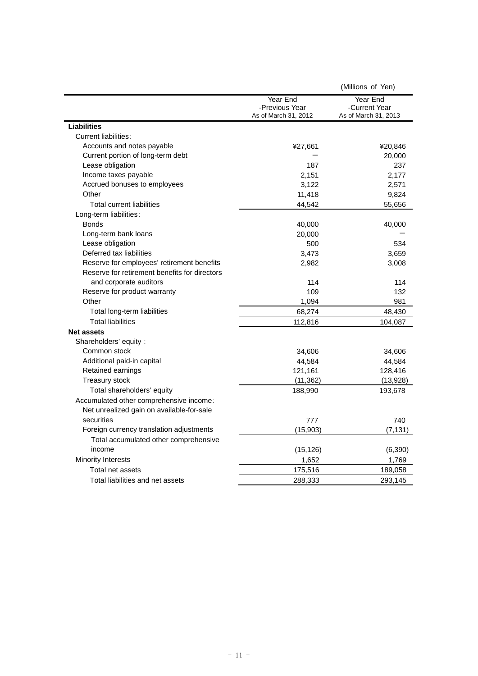|                                                                                      |                                                    | (Millions of Yen)                                 |
|--------------------------------------------------------------------------------------|----------------------------------------------------|---------------------------------------------------|
|                                                                                      | Year End<br>-Previous Year<br>As of March 31, 2012 | Year End<br>-Current Year<br>As of March 31, 2013 |
| <b>Liabilities</b>                                                                   |                                                    |                                                   |
| Current liabilities:                                                                 |                                                    |                                                   |
| Accounts and notes payable                                                           | ¥27,661                                            | ¥20,846                                           |
| Current portion of long-term debt                                                    |                                                    | 20,000                                            |
| Lease obligation                                                                     | 187                                                | 237                                               |
| Income taxes payable                                                                 | 2,151                                              | 2,177                                             |
| Accrued bonuses to employees                                                         | 3,122                                              | 2,571                                             |
| Other                                                                                | 11,418                                             | 9,824                                             |
| Total current liabilities                                                            | 44,542                                             | 55,656                                            |
| Long-term liabilities:                                                               |                                                    |                                                   |
| <b>Bonds</b>                                                                         | 40,000                                             | 40,000                                            |
| Long-term bank loans                                                                 | 20,000                                             |                                                   |
| Lease obligation                                                                     | 500                                                | 534                                               |
| Deferred tax liabilities                                                             | 3,473                                              | 3,659                                             |
| Reserve for employees' retirement benefits                                           | 2,982                                              | 3,008                                             |
| Reserve for retirement benefits for directors                                        |                                                    |                                                   |
| and corporate auditors                                                               | 114                                                | 114                                               |
| Reserve for product warranty                                                         | 109                                                | 132                                               |
| Other                                                                                | 1,094                                              | 981                                               |
| Total long-term liabilities                                                          | 68,274                                             | 48,430                                            |
| <b>Total liabilities</b>                                                             | 112,816                                            | 104,087                                           |
| <b>Net assets</b>                                                                    |                                                    |                                                   |
| Shareholders' equity :                                                               |                                                    |                                                   |
| Common stock                                                                         | 34,606                                             | 34,606                                            |
| Additional paid-in capital                                                           | 44,584                                             | 44,584                                            |
| Retained earnings                                                                    | 121,161                                            | 128,416                                           |
| <b>Treasury stock</b>                                                                | (11, 362)                                          | (13,928)                                          |
| Total shareholders' equity                                                           | 188,990                                            | 193,678                                           |
| Accumulated other comprehensive income:<br>Net unrealized gain on available-for-sale |                                                    |                                                   |
| securities                                                                           | 777                                                | 740                                               |
| Foreign currency translation adjustments                                             | (15,903)                                           | (7, 131)                                          |
| Total accumulated other comprehensive                                                |                                                    |                                                   |
| income                                                                               | (15, 126)                                          | (6, 390)                                          |
| <b>Minority Interests</b>                                                            | 1,652                                              | 1,769                                             |
| Total net assets                                                                     | 175,516                                            | 189,058                                           |
| Total liabilities and net assets                                                     | 288,333                                            | 293,145                                           |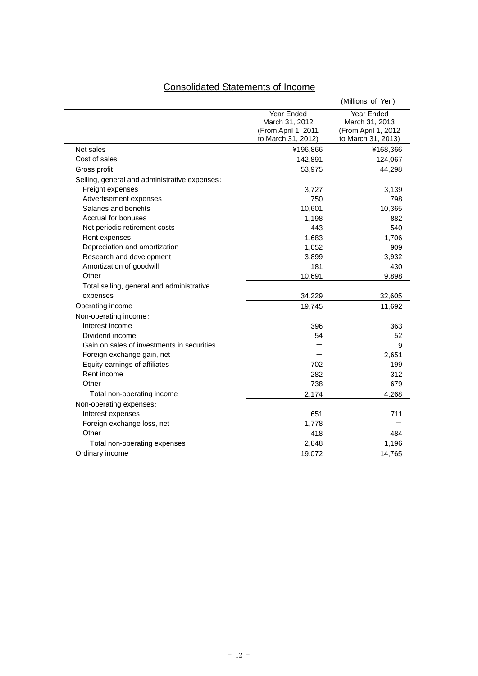# Consolidated Statements of Income

|                                               |                                                                           | (Millions of Yen)                                                         |
|-----------------------------------------------|---------------------------------------------------------------------------|---------------------------------------------------------------------------|
|                                               | Year Ended<br>March 31, 2012<br>(From April 1, 2011<br>to March 31, 2012) | Year Ended<br>March 31, 2013<br>(From April 1, 2012<br>to March 31, 2013) |
| Net sales                                     | ¥196,866                                                                  | ¥168,366                                                                  |
| Cost of sales                                 | 142,891                                                                   | 124,067                                                                   |
| Gross profit                                  | 53,975                                                                    | 44,298                                                                    |
| Selling, general and administrative expenses: |                                                                           |                                                                           |
| Freight expenses                              | 3,727                                                                     | 3,139                                                                     |
| Advertisement expenses                        | 750                                                                       | 798                                                                       |
| Salaries and benefits                         | 10,601                                                                    | 10,365                                                                    |
| Accrual for bonuses                           | 1,198                                                                     | 882                                                                       |
| Net periodic retirement costs                 | 443                                                                       | 540                                                                       |
| Rent expenses                                 | 1,683                                                                     | 1,706                                                                     |
| Depreciation and amortization                 | 1,052                                                                     | 909                                                                       |
| Research and development                      | 3,899                                                                     | 3,932                                                                     |
| Amortization of goodwill                      | 181                                                                       | 430                                                                       |
| Other                                         | 10,691                                                                    | 9,898                                                                     |
| Total selling, general and administrative     |                                                                           |                                                                           |
| expenses                                      | 34,229                                                                    | 32,605                                                                    |
| Operating income                              | 19,745                                                                    | 11,692                                                                    |
| Non-operating income:                         |                                                                           |                                                                           |
| Interest income                               | 396                                                                       | 363                                                                       |
| Dividend income                               | 54                                                                        | 52                                                                        |
| Gain on sales of investments in securities    |                                                                           | 9                                                                         |
| Foreign exchange gain, net                    |                                                                           | 2,651                                                                     |
| Equity earnings of affiliates                 | 702                                                                       | 199                                                                       |
| Rent income                                   | 282                                                                       | 312                                                                       |
| Other                                         | 738                                                                       | 679                                                                       |
| Total non-operating income                    | 2,174                                                                     | 4,268                                                                     |
| Non-operating expenses:                       |                                                                           |                                                                           |
| Interest expenses                             | 651                                                                       | 711                                                                       |
| Foreign exchange loss, net                    | 1,778                                                                     |                                                                           |
| Other                                         | 418                                                                       | 484                                                                       |
| Total non-operating expenses                  | 2,848                                                                     | 1,196                                                                     |
| Ordinary income                               | 19,072                                                                    | 14,765                                                                    |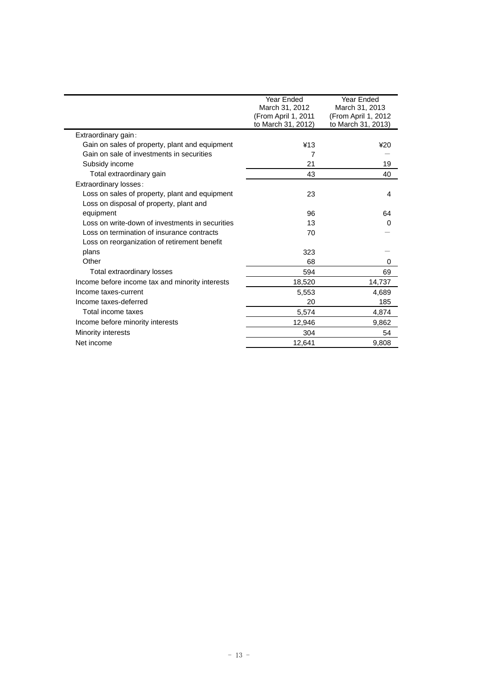|                                                 | Year Ended          | Year Ended           |
|-------------------------------------------------|---------------------|----------------------|
|                                                 | March 31, 2012      | March 31, 2013       |
|                                                 | (From April 1, 2011 | (From April 1, 2012) |
|                                                 | to March 31, 2012)  | to March 31, 2013)   |
| Extraordinary gain:                             |                     |                      |
| Gain on sales of property, plant and equipment  | ¥13                 | 420                  |
| Gain on sale of investments in securities       | 7                   |                      |
| Subsidy income                                  | 21                  | 19                   |
| Total extraordinary gain                        | 43                  | 40                   |
| Extraordinary losses:                           |                     |                      |
| Loss on sales of property, plant and equipment  | 23                  | 4                    |
| Loss on disposal of property, plant and         |                     |                      |
| equipment                                       | 96                  | 64                   |
| Loss on write-down of investments in securities | 13                  | 0                    |
| Loss on termination of insurance contracts      | 70                  |                      |
| Loss on reorganization of retirement benefit    |                     |                      |
| plans                                           | 323                 |                      |
| Other                                           | 68                  | 0                    |
| Total extraordinary losses                      | 594                 | 69                   |
| Income before income tax and minority interests | 18,520              | 14,737               |
| Income taxes-current                            | 5,553               | 4,689                |
| Income taxes-deferred                           | 20                  | 185                  |
| Total income taxes                              | 5,574               | 4,874                |
| Income before minority interests                | 12,946              | 9,862                |
| Minority interests                              | 304                 | 54                   |
| Net income                                      | 12,641              | 9,808                |
|                                                 |                     |                      |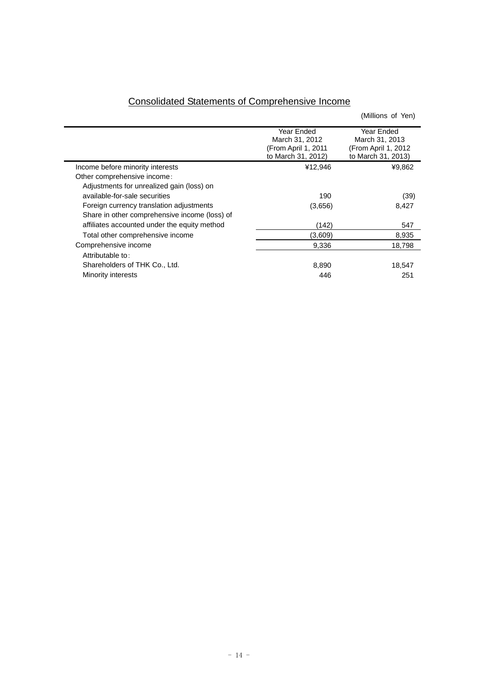| <b>Consolidated Statements of Comprehensive Income</b> |  |  |
|--------------------------------------------------------|--|--|
|                                                        |  |  |

|                                               |                     | (Millions of Yen)   |
|-----------------------------------------------|---------------------|---------------------|
|                                               | Year Ended          | Year Ended          |
|                                               | March 31, 2012      | March 31, 2013      |
|                                               | (From April 1, 2011 | (From April 1, 2012 |
|                                               | to March 31, 2012)  | to March 31, 2013)  |
| Income before minority interests              | ¥12,946             | ¥9,862              |
| Other comprehensive income:                   |                     |                     |
| Adjustments for unrealized gain (loss) on     |                     |                     |
| available-for-sale securities                 | 190                 | (39)                |
| Foreign currency translation adjustments      | (3,656)             | 8,427               |
| Share in other comprehensive income (loss) of |                     |                     |
| affiliates accounted under the equity method  | (142)               | 547                 |
| Total other comprehensive income              | (3,609)             | 8,935               |
| Comprehensive income                          | 9,336               | 18.798              |
| Attributable to:                              |                     |                     |
| Shareholders of THK Co., Ltd.                 | 8,890               | 18,547              |
| Minority interests                            | 446                 | 251                 |
|                                               |                     |                     |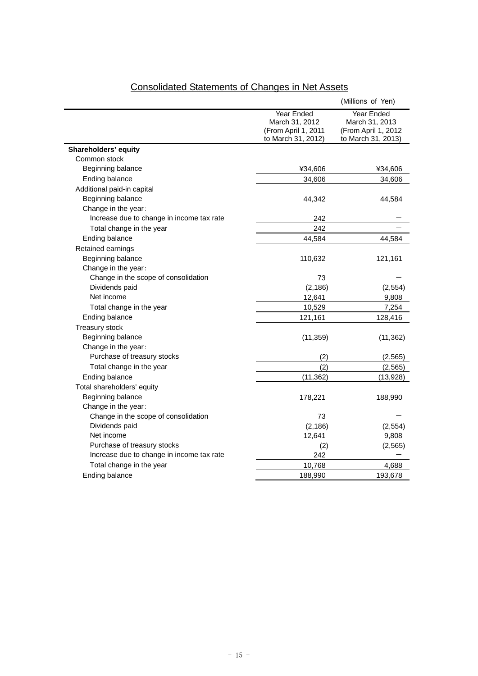|                                           |                                                                           | (Millions of Yen)                                                                |
|-------------------------------------------|---------------------------------------------------------------------------|----------------------------------------------------------------------------------|
|                                           | Year Ended<br>March 31, 2012<br>(From April 1, 2011<br>to March 31, 2012) | <b>Year Ended</b><br>March 31, 2013<br>(From April 1, 2012<br>to March 31, 2013) |
| Shareholders' equity                      |                                                                           |                                                                                  |
| Common stock                              |                                                                           |                                                                                  |
| Beginning balance                         | ¥34,606                                                                   | ¥34,606                                                                          |
| Ending balance                            | 34,606                                                                    | 34,606                                                                           |
| Additional paid-in capital                |                                                                           |                                                                                  |
| Beginning balance                         | 44,342                                                                    | 44,584                                                                           |
| Change in the year:                       |                                                                           |                                                                                  |
| Increase due to change in income tax rate | 242                                                                       |                                                                                  |
| Total change in the year                  | 242                                                                       |                                                                                  |
| Ending balance                            | 44,584                                                                    | 44,584                                                                           |
| Retained earnings                         |                                                                           |                                                                                  |
| Beginning balance                         | 110,632                                                                   | 121,161                                                                          |
| Change in the year:                       |                                                                           |                                                                                  |
| Change in the scope of consolidation      | 73                                                                        |                                                                                  |
| Dividends paid                            | (2, 186)                                                                  | (2,554)                                                                          |
| Net income                                | 12,641                                                                    | 9,808                                                                            |
| Total change in the year                  | 10,529                                                                    | 7,254                                                                            |
| Ending balance                            | 121,161                                                                   | 128,416                                                                          |
| <b>Treasury stock</b>                     |                                                                           |                                                                                  |
| Beginning balance                         | (11, 359)                                                                 | (11, 362)                                                                        |
| Change in the year:                       |                                                                           |                                                                                  |
| Purchase of treasury stocks               | (2)                                                                       | (2, 565)                                                                         |
| Total change in the year                  | (2)                                                                       | (2, 565)                                                                         |
| Ending balance                            | (11, 362)                                                                 | (13,928)                                                                         |
| Total shareholders' equity                |                                                                           |                                                                                  |
| Beginning balance                         | 178,221                                                                   | 188,990                                                                          |
| Change in the year:                       |                                                                           |                                                                                  |
| Change in the scope of consolidation      | 73                                                                        |                                                                                  |
| Dividends paid                            | (2, 186)                                                                  | (2, 554)                                                                         |
| Net income                                | 12,641                                                                    | 9,808                                                                            |
| Purchase of treasury stocks               | (2)                                                                       | (2, 565)                                                                         |
| Increase due to change in income tax rate | 242                                                                       |                                                                                  |
| Total change in the year                  | 10,768                                                                    | 4,688                                                                            |
| Ending balance                            | 188,990                                                                   | 193,678                                                                          |
|                                           |                                                                           |                                                                                  |

# Consolidated Statements of Changes in Net Assets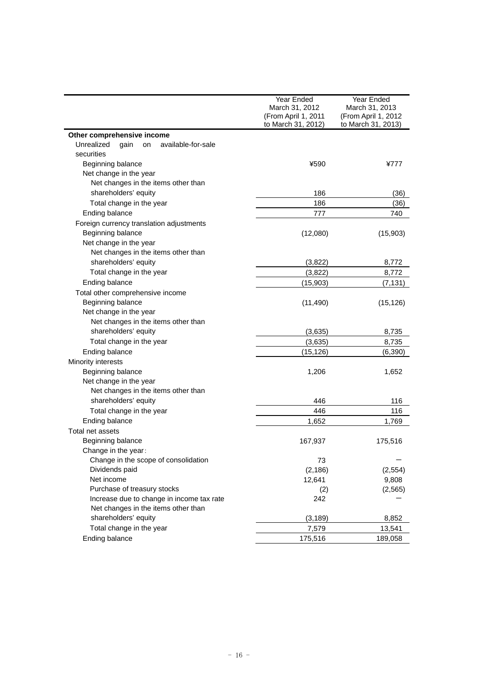|                                                | Year Ended                       | Year Ended          |  |
|------------------------------------------------|----------------------------------|---------------------|--|
|                                                | March 31, 2012<br>March 31, 2013 |                     |  |
|                                                | (From April 1, 2011              | (From April 1, 2012 |  |
|                                                | to March 31, 2012)               | to March 31, 2013)  |  |
| Other comprehensive income                     |                                  |                     |  |
| Unrealized<br>available-for-sale<br>gain<br>on |                                  |                     |  |
| securities                                     |                                  |                     |  |
| Beginning balance                              | ¥590                             | ¥777                |  |
| Net change in the year                         |                                  |                     |  |
| Net changes in the items other than            |                                  |                     |  |
| shareholders' equity                           | 186                              | (36)                |  |
| Total change in the year                       | 186                              | (36)                |  |
| Ending balance                                 | 777                              | 740                 |  |
| Foreign currency translation adjustments       |                                  |                     |  |
| Beginning balance                              | (12,080)                         | (15,903)            |  |
| Net change in the year                         |                                  |                     |  |
| Net changes in the items other than            |                                  |                     |  |
| shareholders' equity                           | (3,822)                          | 8,772               |  |
| Total change in the year                       | (3,822)                          | 8,772               |  |
| Ending balance                                 | (15,903)                         | (7, 131)            |  |
| Total other comprehensive income               |                                  |                     |  |
| Beginning balance                              | (11, 490)                        | (15, 126)           |  |
| Net change in the year                         |                                  |                     |  |
| Net changes in the items other than            |                                  |                     |  |
| shareholders' equity                           | (3,635)                          | 8,735               |  |
| Total change in the year                       | (3,635)                          | 8,735               |  |
| Ending balance                                 | (15, 126)                        | (6, 390)            |  |
| Minority interests                             |                                  |                     |  |
| Beginning balance                              | 1,206                            | 1,652               |  |
| Net change in the year                         |                                  |                     |  |
| Net changes in the items other than            |                                  |                     |  |
| shareholders' equity                           | 446                              | 116                 |  |
| Total change in the year                       | 446                              | 116                 |  |
| Ending balance                                 | 1,652                            | 1,769               |  |
| Total net assets                               |                                  |                     |  |
| Beginning balance                              | 167,937                          | 175,516             |  |
| Change in the year:                            |                                  |                     |  |
| Change in the scope of consolidation           | 73                               |                     |  |
| Dividends paid                                 | (2, 186)                         | (2, 554)            |  |
| Net income                                     | 12,641                           | 9,808               |  |
| Purchase of treasury stocks                    | (2)                              | (2, 565)            |  |
| Increase due to change in income tax rate      | 242                              |                     |  |
| Net changes in the items other than            |                                  |                     |  |
| shareholders' equity                           | (3, 189)                         | 8,852               |  |
| Total change in the year                       | 7,579                            | 13,541              |  |
| Ending balance                                 | 175,516                          | 189,058             |  |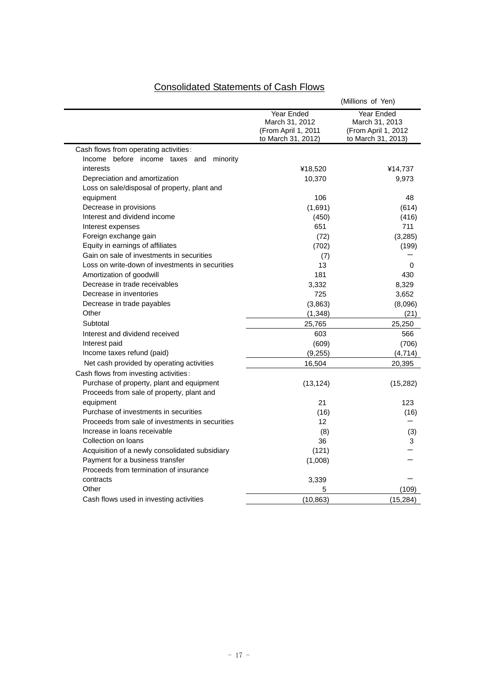# Consolidated Statements of Cash Flows

|                                                                                        |                                                                           | (Millions of Yen)                                                         |
|----------------------------------------------------------------------------------------|---------------------------------------------------------------------------|---------------------------------------------------------------------------|
|                                                                                        | Year Ended<br>March 31, 2012<br>(From April 1, 2011<br>to March 31, 2012) | Year Ended<br>March 31, 2013<br>(From April 1, 2012<br>to March 31, 2013) |
| Cash flows from operating activities:                                                  |                                                                           |                                                                           |
| Income before income taxes and<br>minority                                             |                                                                           |                                                                           |
| interests                                                                              | ¥18,520                                                                   | ¥14,737                                                                   |
| Depreciation and amortization                                                          | 10,370                                                                    | 9,973                                                                     |
| Loss on sale/disposal of property, plant and                                           |                                                                           |                                                                           |
| equipment                                                                              | 106                                                                       | 48                                                                        |
| Decrease in provisions                                                                 | (1,691)                                                                   | (614)                                                                     |
| Interest and dividend income                                                           | (450)                                                                     | (416)                                                                     |
| Interest expenses                                                                      | 651                                                                       | 711                                                                       |
| Foreign exchange gain                                                                  | (72)                                                                      | (3, 285)                                                                  |
| Equity in earnings of affiliates                                                       | (702)                                                                     | (199)                                                                     |
| Gain on sale of investments in securities                                              | (7)                                                                       |                                                                           |
| Loss on write-down of investments in securities                                        | 13                                                                        | 0                                                                         |
| Amortization of goodwill                                                               | 181                                                                       | 430                                                                       |
| Decrease in trade receivables                                                          | 3,332                                                                     | 8,329                                                                     |
| Decrease in inventories                                                                | 725                                                                       | 3,652                                                                     |
| Decrease in trade payables                                                             | (3,863)                                                                   | (8,096)                                                                   |
| Other                                                                                  | (1, 348)                                                                  | (21)                                                                      |
| Subtotal                                                                               | 25,765                                                                    | 25,250                                                                    |
| Interest and dividend received                                                         | 603                                                                       | 566                                                                       |
| Interest paid                                                                          | (609)                                                                     | (706)                                                                     |
| Income taxes refund (paid)                                                             | (9, 255)                                                                  | (4,714)                                                                   |
| Net cash provided by operating activities                                              | 16,504                                                                    | 20,395                                                                    |
| Cash flows from investing activities:                                                  |                                                                           |                                                                           |
| Purchase of property, plant and equipment<br>Proceeds from sale of property, plant and | (13, 124)                                                                 | (15,282)                                                                  |
| equipment                                                                              | 21                                                                        | 123                                                                       |
| Purchase of investments in securities                                                  | (16)                                                                      | (16)                                                                      |
| Proceeds from sale of investments in securities                                        | 12 <sup>2</sup>                                                           |                                                                           |
| Increase in loans receivable                                                           | (8)                                                                       | (3)                                                                       |
| Collection on loans                                                                    | 36                                                                        | 3                                                                         |
| Acquisition of a newly consolidated subsidiary                                         | (121)                                                                     |                                                                           |
| Payment for a business transfer<br>Proceeds from termination of insurance              | (1,008)                                                                   |                                                                           |
| contracts                                                                              | 3,339                                                                     |                                                                           |
| Other                                                                                  | 5                                                                         | (109)                                                                     |
|                                                                                        |                                                                           |                                                                           |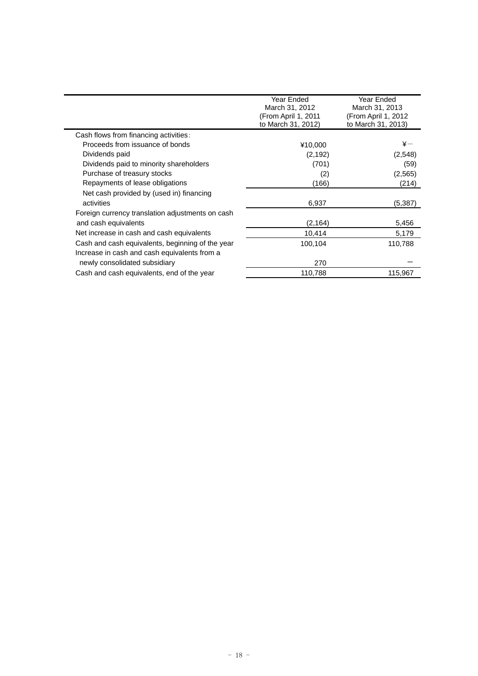|                                                  | Year Ended<br>March 31, 2012<br>(From April 1, 2011<br>to March 31, 2012) | Year Ended<br>March 31, 2013<br>(From April 1, 2012<br>to March 31, 2013) |  |
|--------------------------------------------------|---------------------------------------------------------------------------|---------------------------------------------------------------------------|--|
| Cash flows from financing activities:            |                                                                           |                                                                           |  |
| Proceeds from issuance of bonds                  | ¥10,000                                                                   | $\mathtt{*}-$                                                             |  |
| Dividends paid                                   | (2, 192)                                                                  | (2,548)                                                                   |  |
| Dividends paid to minority shareholders          | (701)                                                                     | (59)                                                                      |  |
| Purchase of treasury stocks                      | (2)                                                                       | (2, 565)                                                                  |  |
| Repayments of lease obligations                  | (166)                                                                     | (214)                                                                     |  |
| Net cash provided by (used in) financing         |                                                                           |                                                                           |  |
| activities                                       | 6,937                                                                     | (5,387)                                                                   |  |
| Foreign currency translation adjustments on cash |                                                                           |                                                                           |  |
| and cash equivalents                             | (2,164)                                                                   | 5,456                                                                     |  |
| Net increase in cash and cash equivalents        | 10,414                                                                    | 5,179                                                                     |  |
| Cash and cash equivalents, beginning of the year | 100,104                                                                   | 110,788                                                                   |  |
| Increase in cash and cash equivalents from a     |                                                                           |                                                                           |  |
| newly consolidated subsidiary                    | 270                                                                       |                                                                           |  |
| Cash and cash equivalents, end of the year       | 110,788                                                                   | 115,967                                                                   |  |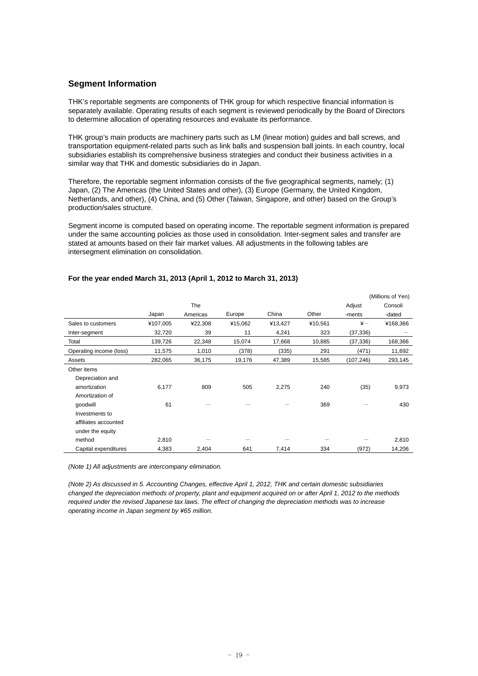## **Segment Information**

THK's reportable segments are components of THK group for which respective financial information is separately available. Operating results of each segment is reviewed periodically by the Board of Directors to determine allocation of operating resources and evaluate its performance.

THK group's main products are machinery parts such as LM (linear motion) guides and ball screws, and transportation equipment-related parts such as link balls and suspension ball joints. In each country, local subsidiaries establish its comprehensive business strategies and conduct their business activities in a similar way that THK and domestic subsidiaries do in Japan.

Therefore, the reportable segment information consists of the five geographical segments, namely; (1) Japan, (2) The Americas (the United States and other), (3) Europe (Germany, the United Kingdom, Netherlands, and other), (4) China, and (5) Other (Taiwan, Singapore, and other) based on the Group's production/sales structure.

Segment income is computed based on operating income. The reportable segment information is prepared under the same accounting policies as those used in consolidation. Inter-segment sales and transfer are stated at amounts based on their fair market values. All adjustments in the following tables are intersegment elimination on consolidation.

|                         |          |          |         |         |         |            | (Millions of Yen) |
|-------------------------|----------|----------|---------|---------|---------|------------|-------------------|
|                         |          | The      |         |         |         | Adjust     | Consoli           |
|                         | Japan    | Americas | Europe  | China   | Other   | -ments     | -dated            |
| Sales to customers      | ¥107,005 | ¥22,308  | ¥15,062 | ¥13,427 | ¥10,561 | $\ddot{x}$ | ¥168,366          |
| Inter-segment           | 32,720   | 39       | 11      | 4,241   | 323     | (37, 336)  |                   |
| Total                   | 139,726  | 22,348   | 15,074  | 17,668  | 10,885  | (37, 336)  | 168,366           |
| Operating income (loss) | 11,575   | 1,010    | (378)   | (335)   | 291     | (471)      | 11,692            |
| Assets                  | 282,065  | 36,175   | 19,176  | 47,389  | 15,585  | (107, 246) | 293,145           |
| Other items             |          |          |         |         |         |            |                   |
| Depreciation and        |          |          |         |         |         |            |                   |
| amortization            | 6,177    | 809      | 505     | 2,275   | 240     | (35)       | 9,973             |
| Amortization of         |          |          |         |         |         |            |                   |
| qoodwill                | 61       |          |         |         | 369     |            | 430               |
| Investments to          |          |          |         |         |         |            |                   |
| affiliates accounted    |          |          |         |         |         |            |                   |
| under the equity        |          |          |         |         |         |            |                   |
| method                  | 2,810    |          |         |         |         |            | 2,810             |
| Capital expenditures    | 4,383    | 2,404    | 641     | 7,414   | 334     | (972)      | 14,206            |

## **For the year ended March 31, 2013 (April 1, 2012 to March 31, 2013)**

*(Note 1) All adjustments are intercompany elimination.* 

*(Note 2) As discussed in 5. Accounting Changes, effective April 1, 2012, THK and certain domestic subsidiaries changed the depreciation methods of property, plant and equipment acquired on or after April 1, 2012 to the methods required under the revised Japanese tax laws. The effect of changing the depreciation methods was to increase operating income in Japan segment by ¥65 million.*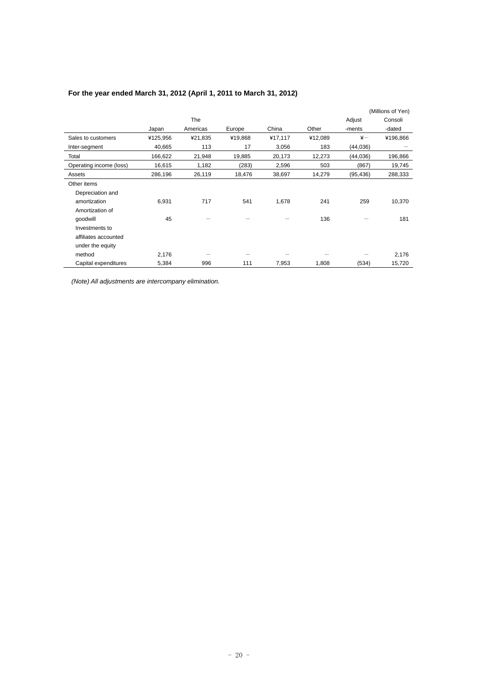|                         |          |            |         |         |         |              | (Millions of Yen) |
|-------------------------|----------|------------|---------|---------|---------|--------------|-------------------|
|                         |          | <b>The</b> |         |         |         | Adjust       | Consoli           |
|                         | Japan    | Americas   | Europe  | China   | Other   | -ments       | -dated            |
| Sales to customers      | ¥125,956 | ¥21,835    | ¥19,868 | ¥17,117 | ¥12,089 | $\ddot{x}$ - | ¥196,866          |
| Inter-segment           | 40,665   | 113        | 17      | 3,056   | 183     | (44, 036)    |                   |
| Total                   | 166,622  | 21,948     | 19,885  | 20,173  | 12,273  | (44,036)     | 196,866           |
| Operating income (loss) | 16,615   | 1,182      | (283)   | 2,596   | 503     | (867)        | 19,745            |
| Assets                  | 286,196  | 26,119     | 18,476  | 38,697  | 14,279  | (95, 436)    | 288,333           |
| Other items             |          |            |         |         |         |              |                   |
| Depreciation and        |          |            |         |         |         |              |                   |
| amortization            | 6,931    | 717        | 541     | 1,678   | 241     | 259          | 10,370            |
| Amortization of         |          |            |         |         |         |              |                   |
| qoodwill                | 45       |            |         |         | 136     |              | 181               |
| Investments to          |          |            |         |         |         |              |                   |
| affiliates accounted    |          |            |         |         |         |              |                   |
| under the equity        |          |            |         |         |         |              |                   |
| method                  | 2,176    |            |         |         |         |              | 2,176             |
| Capital expenditures    | 5,384    | 996        | 111     | 7,953   | 1,808   | (534)        | 15,720            |

## **For the year ended March 31, 2012 (April 1, 2011 to March 31, 2012)**

 *(Note) All adjustments are intercompany elimination.*